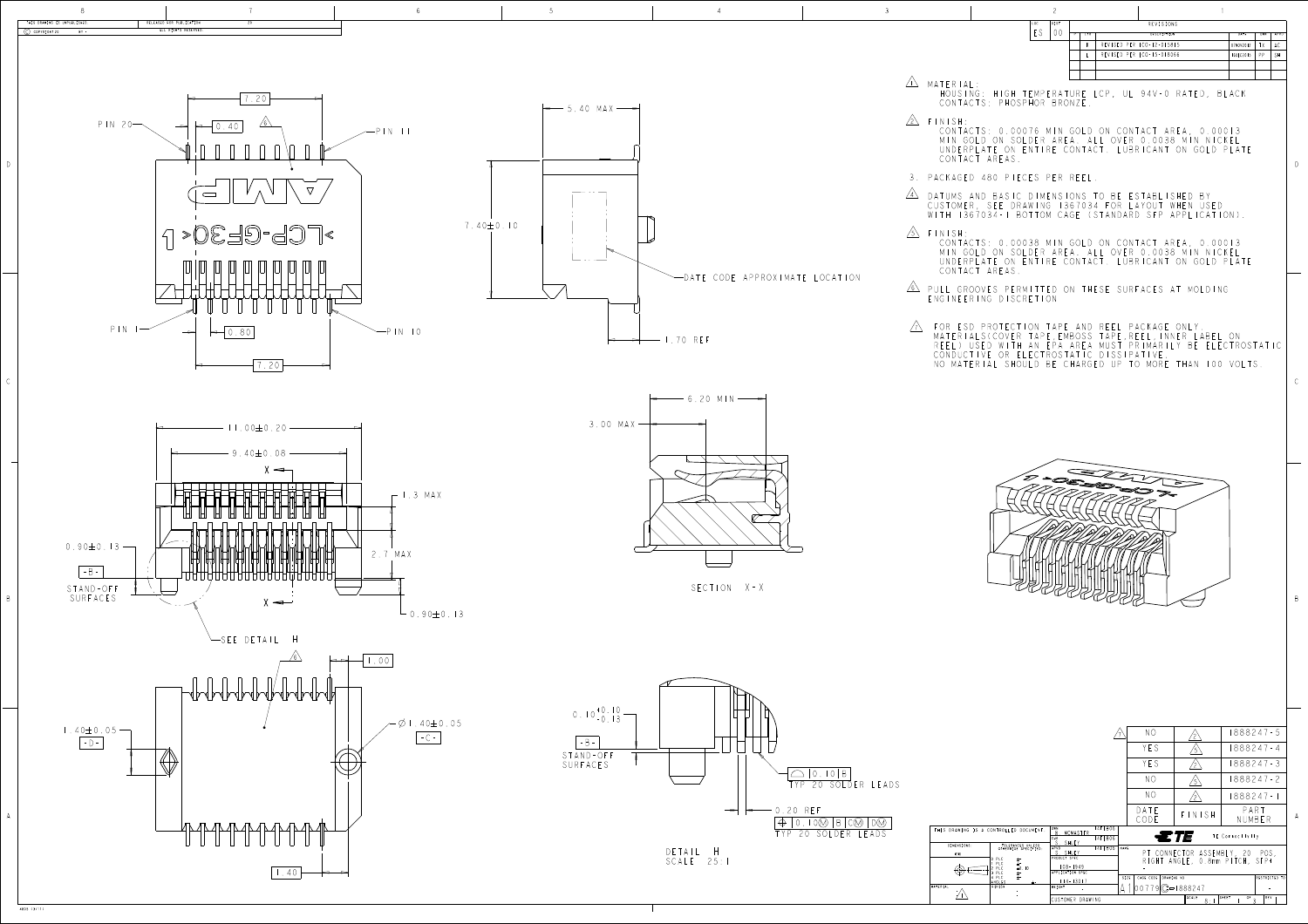D

B

4805 (3/11)

| LOC. | DIST |       | REVISIONS                 |           |     |           |
|------|------|-------|---------------------------|-----------|-----|-----------|
| ES   |      | L T R | DESCRIPTION               | DATE      | DWN | APVD      |
|      |      | K     | REVISED PER ECO-12-015815 | 07NOV2012 | TΧ  | AC        |
|      |      |       | REVISED PER ECO-15-018066 | 16DEC2015 | PP  | <b>SH</b> |
|      |      |       |                           |           |     |           |
|      |      |       |                           |           |     |           |



|                                                                                                                                                                                                 | NO                                      |                 | 1888247-5                                                        |
|-------------------------------------------------------------------------------------------------------------------------------------------------------------------------------------------------|-----------------------------------------|-----------------|------------------------------------------------------------------|
|                                                                                                                                                                                                 | YES                                     | 5               | 888247 - 4                                                       |
|                                                                                                                                                                                                 | YFS                                     |                 | 1888247-3                                                        |
|                                                                                                                                                                                                 | NO                                      |                 | 1888247-2                                                        |
|                                                                                                                                                                                                 | NO                                      |                 | 888247 - 1                                                       |
|                                                                                                                                                                                                 | DATE<br>CODE                            | $F$ $N$ $S$ $H$ | PART<br>NUMBER                                                   |
| I4FEB06<br><b>DWN</b><br>CONTROLLED DOCUMENT.<br>$\boldsymbol{\upbeta}$<br>MCMASTER<br>4FEB06<br>CHK<br>S<br>SHUEY                                                                              |                                         | ETE             | TE Connectivity                                                  |
| TOLERANCES UNLESS<br>OTHERWISE SPECIFIED:<br>14FEB06<br>APVD<br>SHUEY<br>PRODUCT SPEC<br>PLC<br>士"<br>$\pm$ -<br>PLC<br>$108 - 1949$<br>PLC<br>$\pm 0.10$<br>APPLICATION SPEC<br>PLC<br>$\pm$ - | NAME                                    |                 | PT CONNECTOR ASSEMBLY, 20 POS,<br>RIGHT ANGLE, 0.8mm PITCH, SFP+ |
| 4 PLC<br>$\pm$ -<br>$114 - 13017$<br>ANGLES<br>FINISH<br><b>WEIGHT</b>                                                                                                                          | DRAWING NO<br>SIZE<br>CAGE CODE<br>0077 | $(C=1888247)$   | RESTRICTED TO                                                    |
| CUSTOMER DRAWING                                                                                                                                                                                |                                         | SCALE<br>8:     | OF<br>REV<br>SHEET<br>3                                          |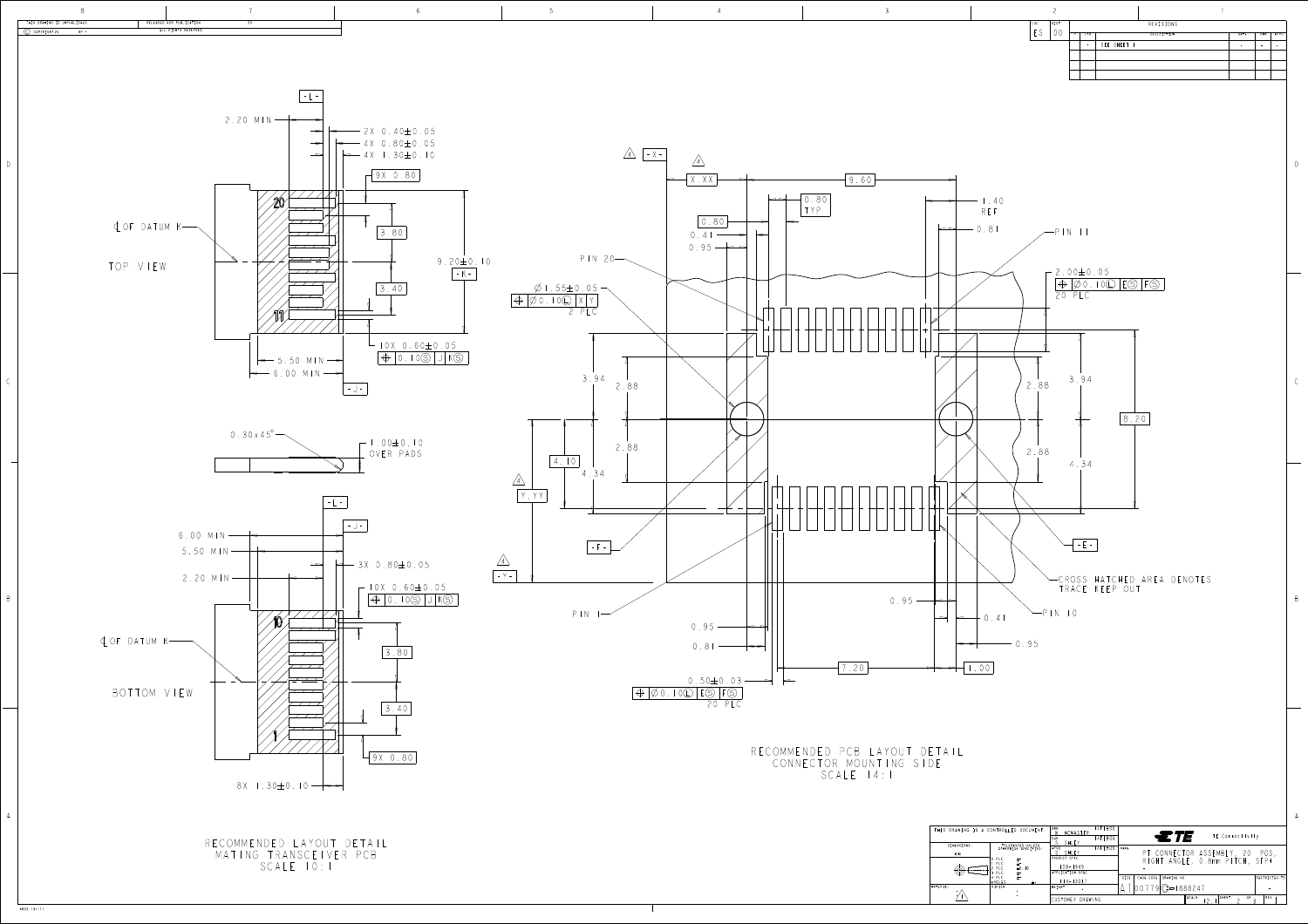D

B

| CONTROLLED DOCUMENT.                                                                               | MCMASTER<br>B<br>CHK                                                             | 4FEB06<br>4FEB06 | $\equiv T E$<br>TE Connectivity                                                    |               |
|----------------------------------------------------------------------------------------------------|----------------------------------------------------------------------------------|------------------|------------------------------------------------------------------------------------|---------------|
| TOLERANCES UNLESS<br>OTHERWISE SPECIFIED:<br>PLC<br>$\pm$ -<br>$\pm 0.10$<br>PLC<br>PLC<br>$\pm$ - | SHUEY<br>APVD<br><b>SHUFY</b><br>PRODUCT SPEC<br>  08 - 1949<br>APPLICATION SPEC | I 4FEB06         | <b>NAME</b><br>PT CONNECTOR ASSEMBLY, 20<br>POS.<br>RIGHT ANGLE, 0.8mm PITCH, SFP+ |               |
| 14 PLC<br>$+ -$<br><b><i>ANGLES</i></b>                                                            | $14 - 13017$                                                                     |                  | CAGE CODE<br>DRAWING NO<br><b>SIZE</b>                                             | RESTRICTED TO |
| <b>FINISH</b>                                                                                      | WEIGHT                                                                           |                  | $[00779]$ $C = 1888247$                                                            |               |
|                                                                                                    | CUSTOMER DRAWING                                                                 |                  | SHEET<br>SCALE<br>OF<br>つ -                                                        | REV           |

4805 (3/11)

|          | THIS DRAWING IS A |  |
|----------|-------------------|--|
|          |                   |  |
|          | DIMENSIONS:       |  |
|          | mm                |  |
|          |                   |  |
|          |                   |  |
|          |                   |  |
| MATERIAL |                   |  |
|          |                   |  |
|          |                   |  |
|          |                   |  |



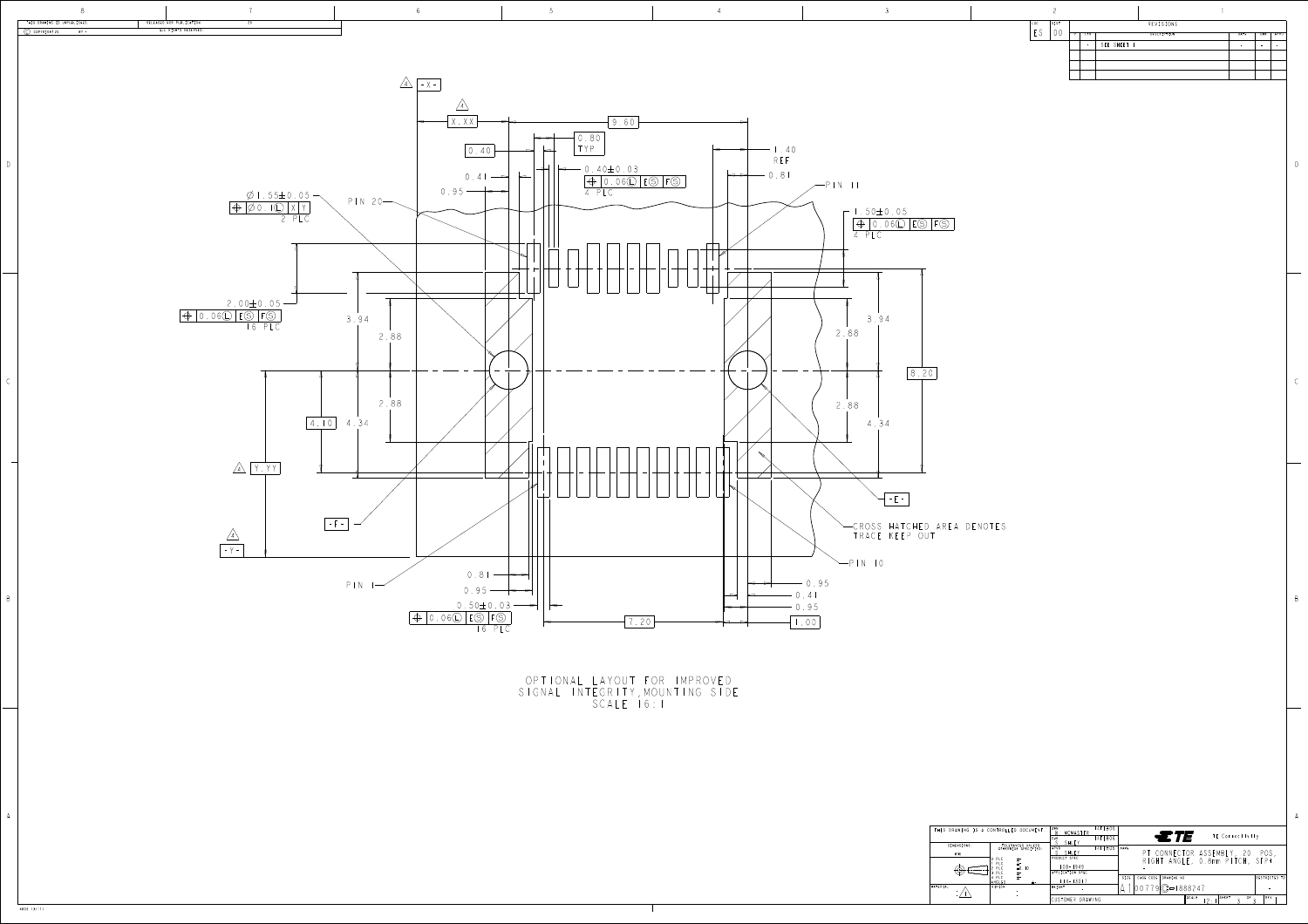|                  | $\widehat{\phantom{1}}$ |   |            |             |             |      |                          |      |
|------------------|-------------------------|---|------------|-------------|-------------|------|--------------------------|------|
| LOC<br>$\subset$ | DIST                    |   |            |             | REVISIONS   |      |                          |      |
|                  |                         | P | <b>LTR</b> |             | DESCRIPTION | DATE | <b>DWN</b>               | APVD |
|                  |                         |   | ۰          | SEE SHEET I |             |      | $\overline{\phantom{a}}$ |      |
|                  |                         |   |            |             |             |      |                          |      |
|                  |                         |   |            |             |             |      |                          |      |
|                  |                         |   |            |             |             |      |                          |      |
|                  |                         |   |            |             |             |      |                          |      |

D

B

A A

| $ 00779 C - 1888247$                                                               | RESTRICTED TO                     |
|------------------------------------------------------------------------------------|-----------------------------------|
| MATERIAL<br><b>FINISH</b><br>WEIGHT                                                |                                   |
| PLC<br>$\pm$ -<br>CAGE CODE<br>DRAWING NO<br>SIZE<br>$14 - 13017$<br>ANGLES        |                                   |
| APPLICATION SPEC<br>PIC<br>$\pm$ -                                                 |                                   |
| PI C<br>$\pm$ -<br>$108 - 1949$<br>$\pm 0.10$<br>PLC                               |                                   |
| PRODUCT SPEC<br>PLC<br>士"                                                          | RIGHT ANGLE, 0.8mm PITCH, SFP+    |
| SHUEY<br>mm                                                                        | PT CONNECTOR ASSEMBLY, 20<br>POS, |
| DIMENSIONS:<br>TOLERANCES UNLESS<br>4FEB06<br>NAME<br>APVD<br>OTHERWISE SPECIFIED: |                                   |
| $\epsilon$ that<br>4FEB06<br>CHK<br>SHUEY                                          | TE Connectivity                   |
| 4FEB06<br>DWN<br>THIS DRAWING IS A CONTROLLED DOCUMENT.<br>MCMASTER                |                                   |

4805 (3/11)

IIONAL LAYOUT FOR IMPROV SIGNAL INTEGRITY,MOUNTING SIDE CALE 16: